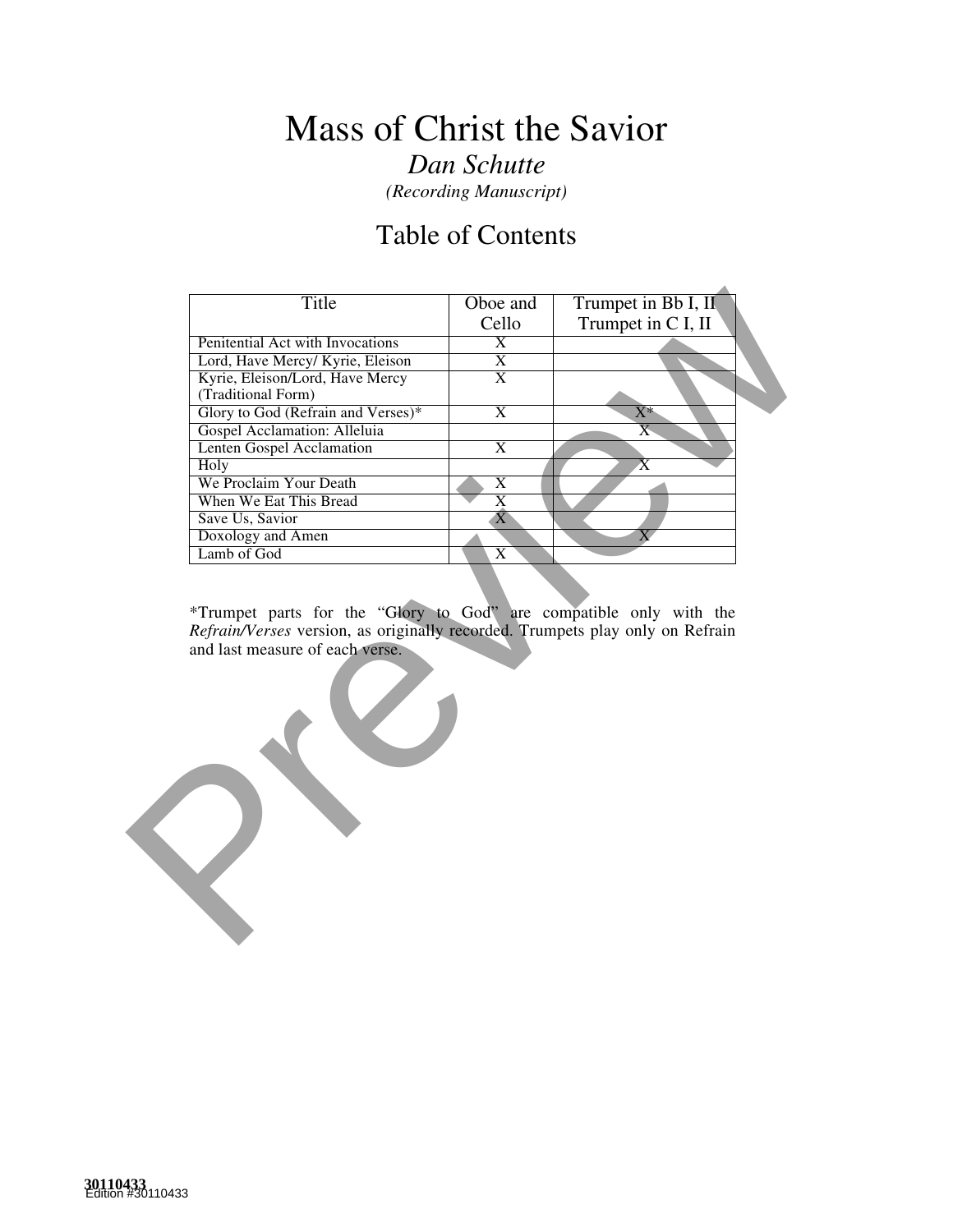#### Mass of Christ the Savior

*Dan Schutte (Recording Manuscript)* 

#### Table of Contents

| Title                                                                                                                                               | Oboe and                | Trumpet in Bb I, II     |  |
|-----------------------------------------------------------------------------------------------------------------------------------------------------|-------------------------|-------------------------|--|
|                                                                                                                                                     | Cello                   | Trumpet in C I, II      |  |
| Penitential Act with Invocations                                                                                                                    | X                       |                         |  |
| Lord, Have Mercy/ Kyrie, Eleison                                                                                                                    | $\overline{X}$          |                         |  |
| Kyrie, Eleison/Lord, Have Mercy                                                                                                                     | $\overline{X}$          |                         |  |
| (Traditional Form)                                                                                                                                  |                         |                         |  |
| Glory to God (Refrain and Verses)*                                                                                                                  | $\overline{X}$          | $\overline{X^*}$        |  |
| Gospel Acclamation: Alleluia                                                                                                                        |                         | $\rm X$                 |  |
| <b>Lenten Gospel Acclamation</b>                                                                                                                    | X                       |                         |  |
| Holy                                                                                                                                                |                         | $\overline{\mathrm{X}}$ |  |
| We Proclaim Your Death                                                                                                                              | X                       |                         |  |
| When We Eat This Bread                                                                                                                              | $\overline{\mathrm{X}}$ |                         |  |
| Save Us, Savior                                                                                                                                     | $\overline{X}$          |                         |  |
| Doxology and Amen                                                                                                                                   |                         | $\overline{X}$          |  |
| Lamb of God                                                                                                                                         | $\overline{\mathrm{X}}$ |                         |  |
| *Trumpet parts for the "Glory to God" are compatible only with the<br>Refrain/Verses version, as originally recorded. Trumpets play only on Refrain |                         |                         |  |
| and last measure of each verse.                                                                                                                     |                         |                         |  |

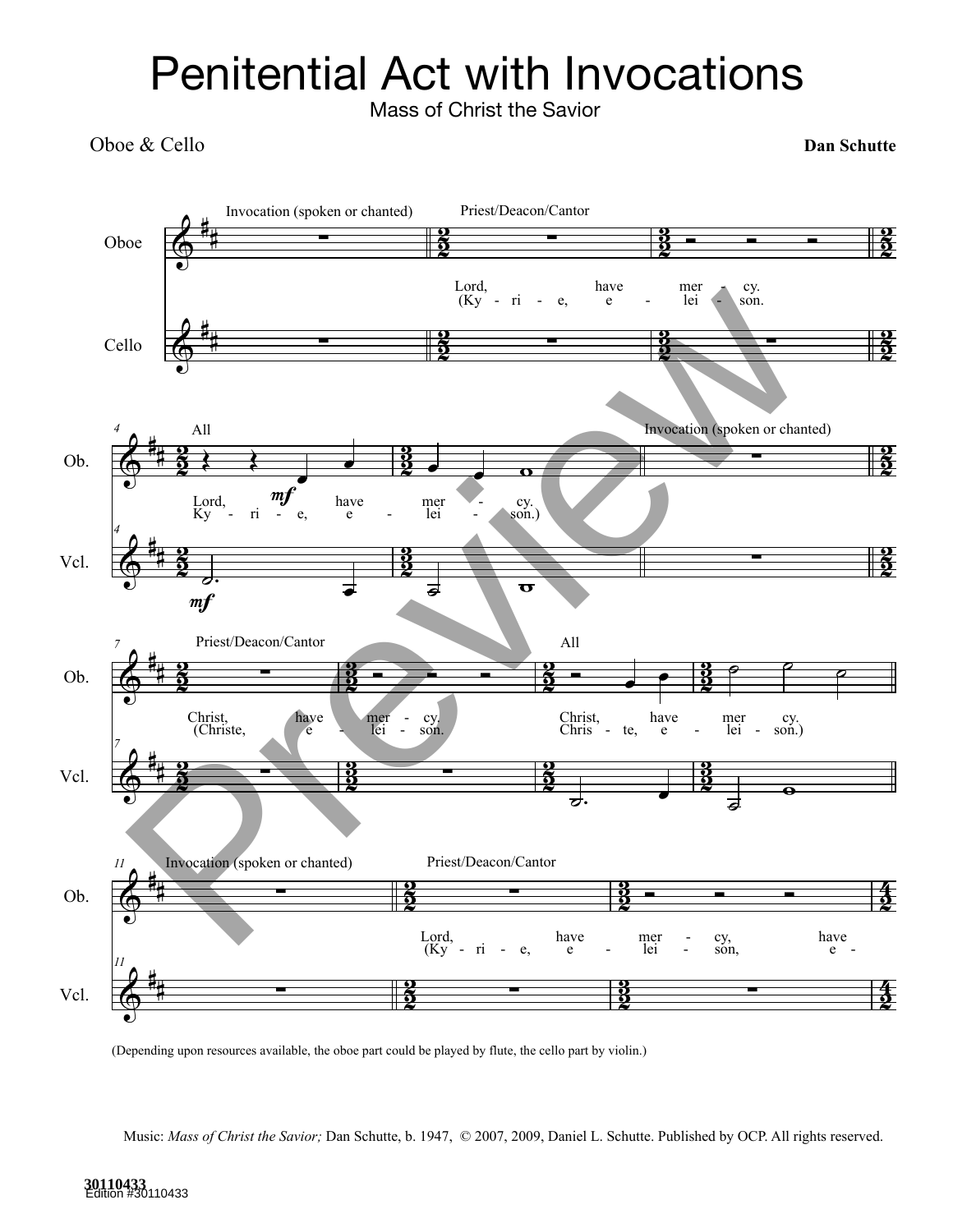# Penitential Act with Invocations

Mass of Christ the Savior

Oboe & Cello

#### **Dan Schutte**



(Depending upon resources available, the oboe part could be played by flute, the cello part by violin.)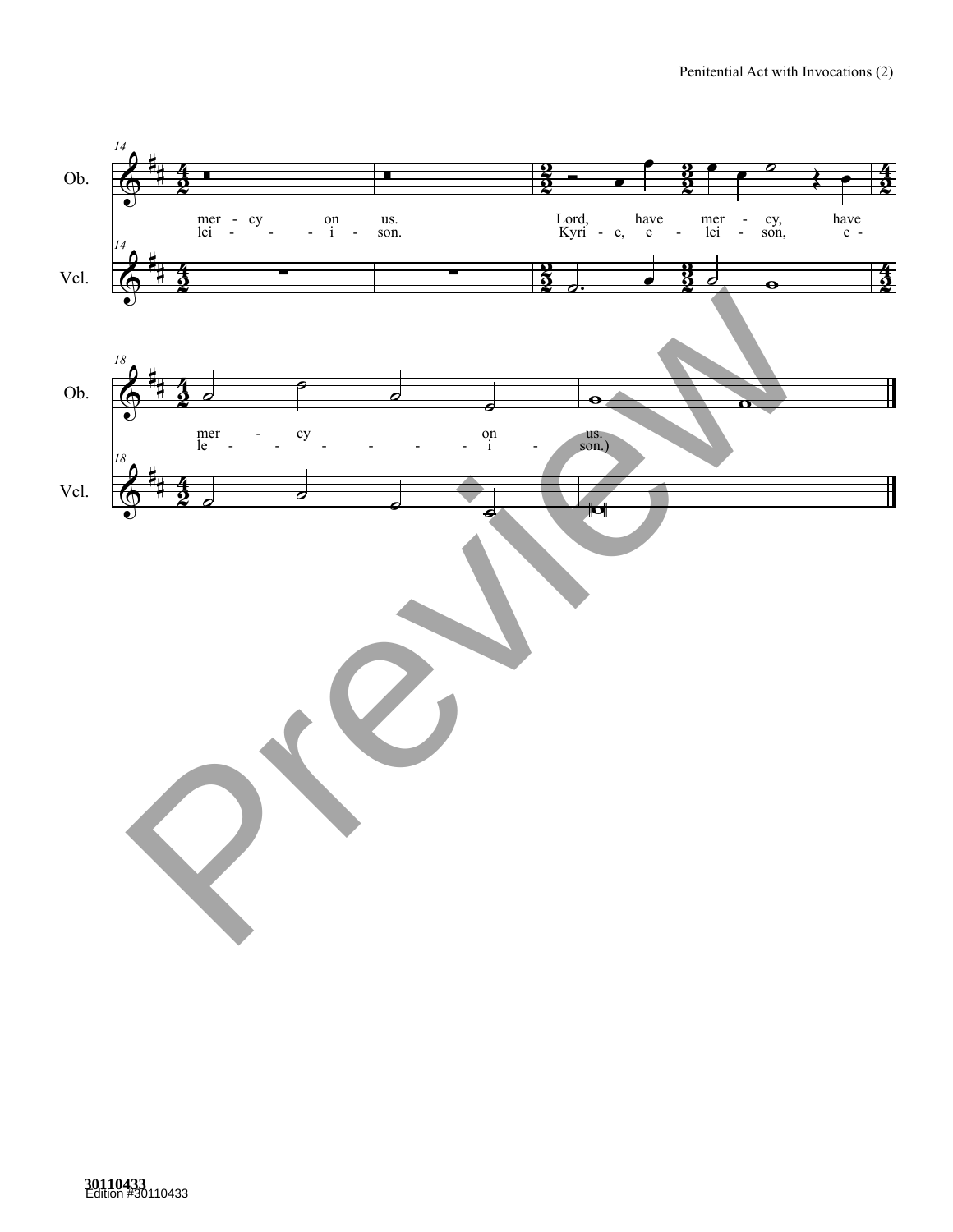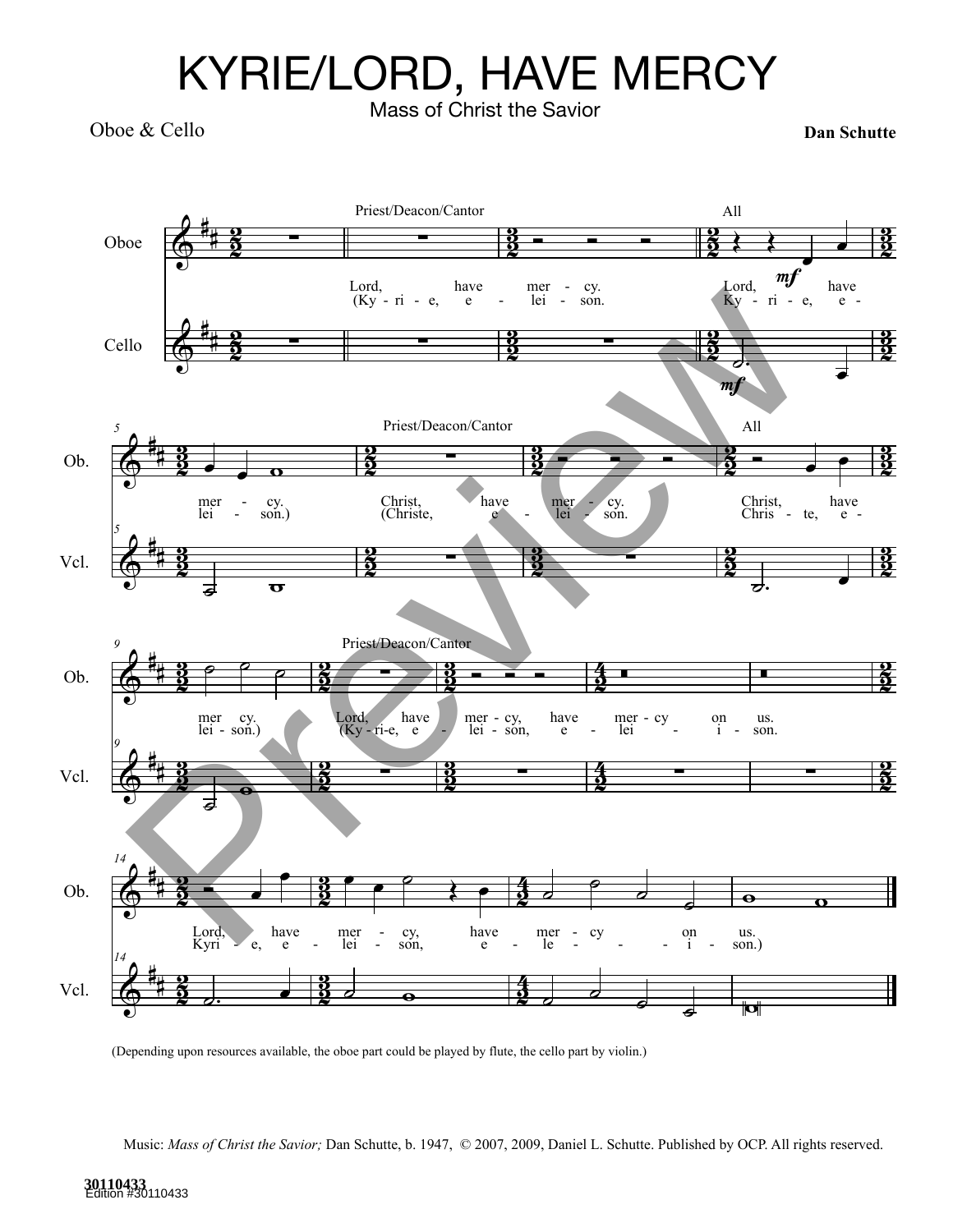# KYRIE/LORD, HAVE MERCY

Mass of Christ the Savior

Oboe & Cello

**Dan Schutte**



(Depending upon resources available, the oboe part could be played by flute, the cello part by violin.)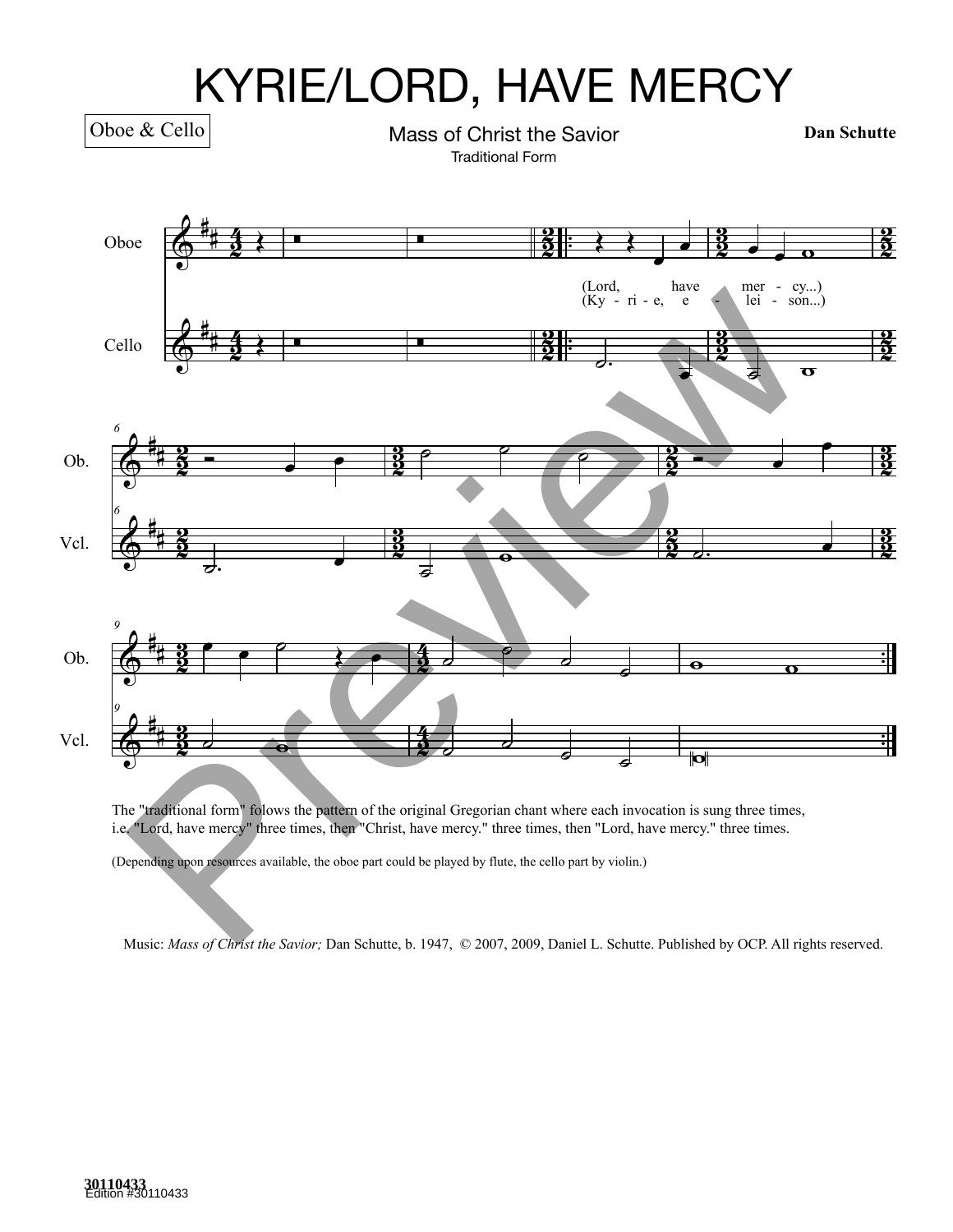## KYRIE/LORD, HAVE MERCY

Oboe  $\&$  Cello  $\Big|$  Mass of Christ the Savior Traditional Form

**Dan Schutte**



The "traditional form" folows the pattern of the original Gregorian chant where each invocation is sung three times, i.e. "Lord, have mercy" three times, then "Christ, have mercy." three times, then "Lord, have mercy." three times.

(Depending upon resources available, the oboe part could be played by flute, the cello part by violin.)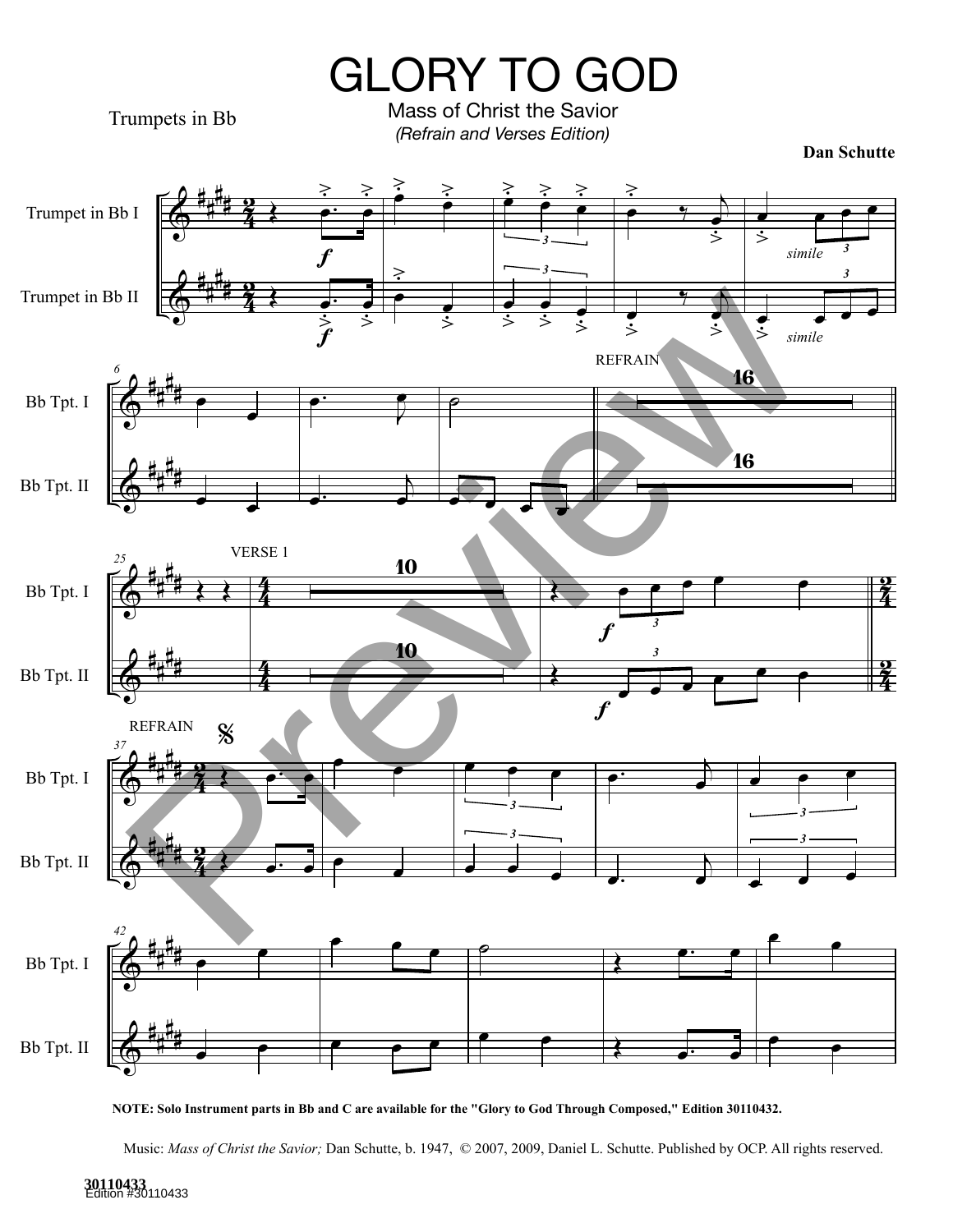

**NOTE: Solo Instrument parts in Bb and C are available for the "Glory to God Through Composed," Edition 30110432.** 

Music: *Mass of Christ the Savior;* Dan Schutte, b. 1947, © 2007, 2009, Daniel L. Schutte. Published by OCP. All rights reserved.

**30110433** Edition #30110433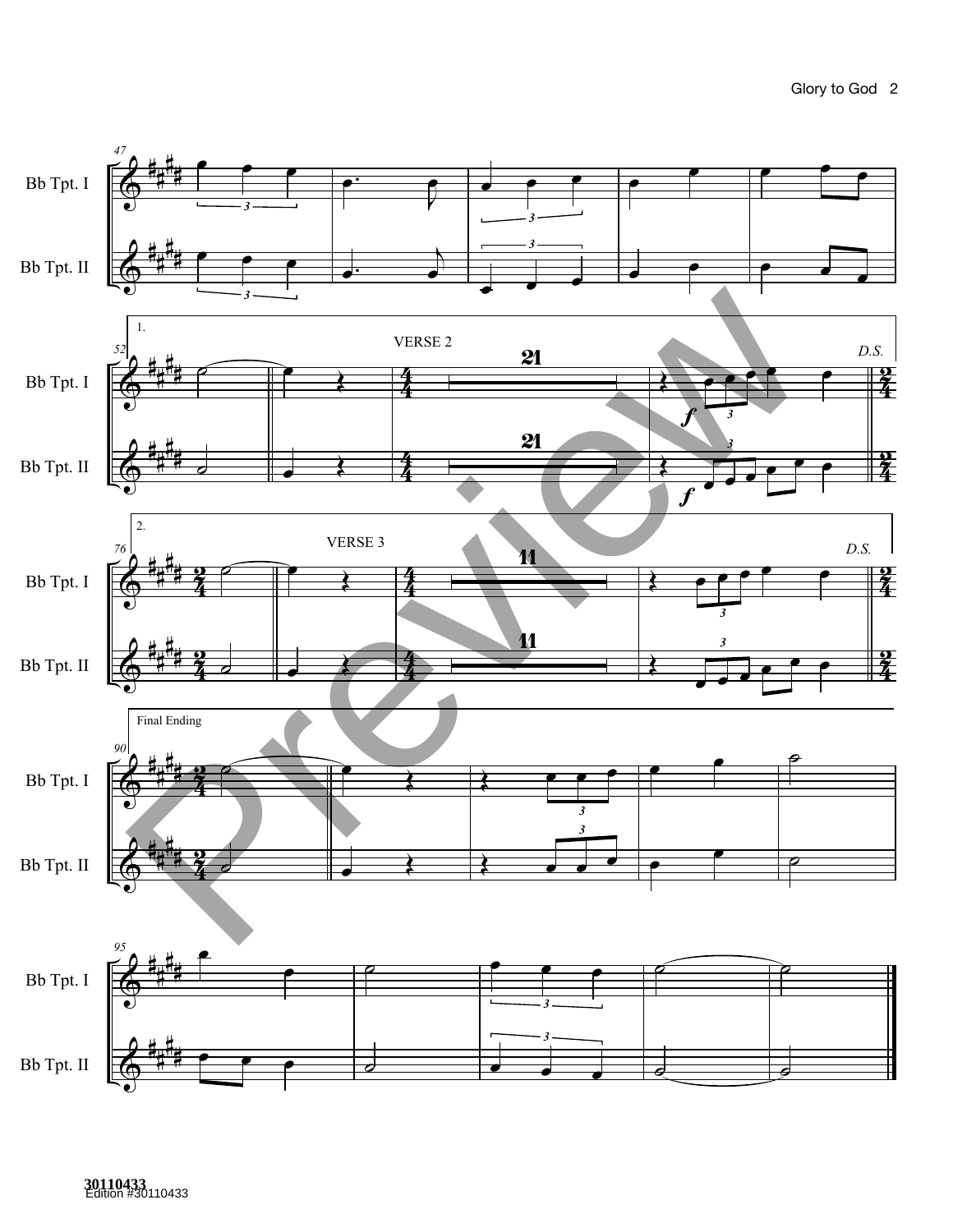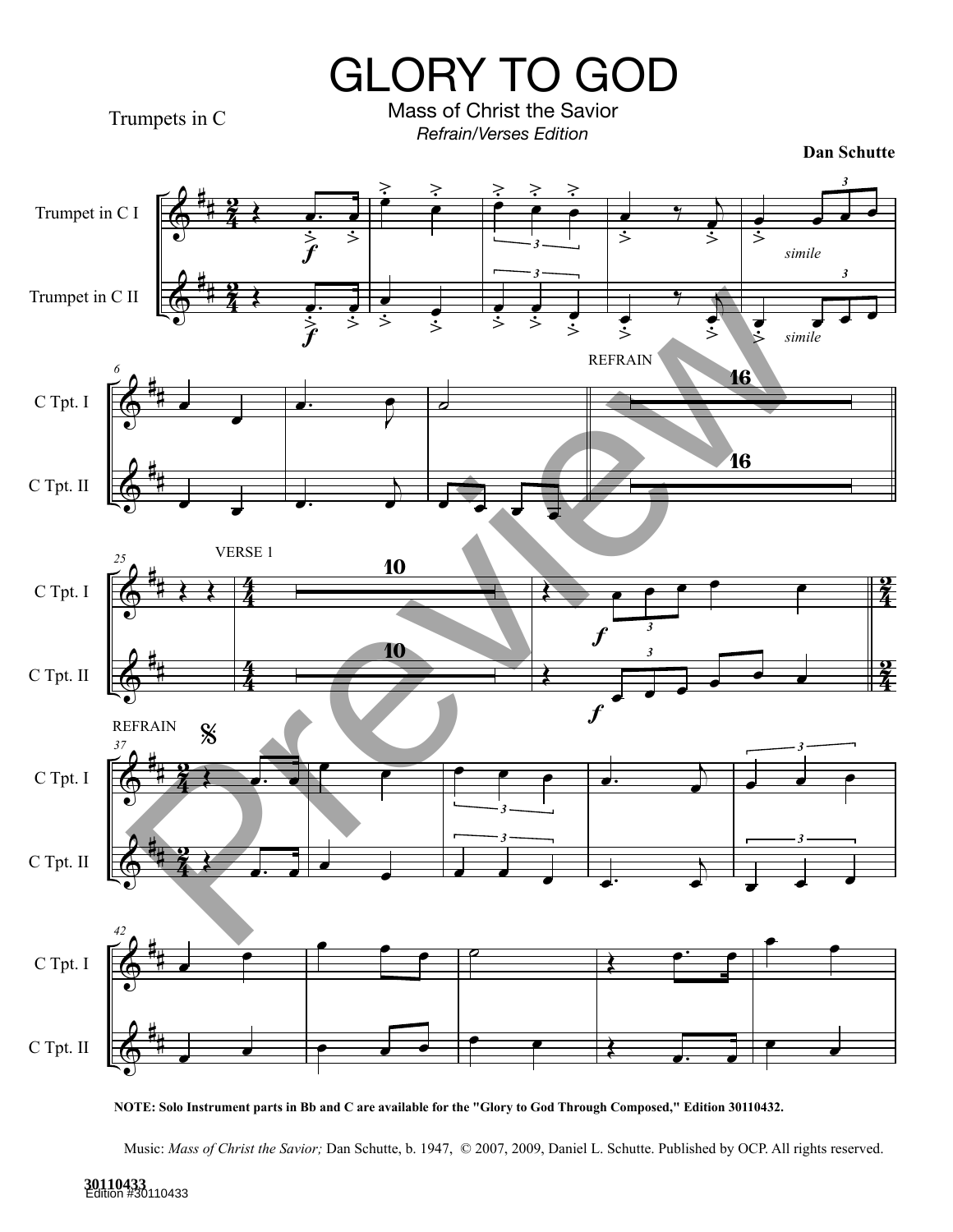

**NOTE: Solo Instrument parts in Bb and C are available for the "Glory to God Through Composed," Edition 30110432.** 

Music: *Mass of Christ the Savior;* Dan Schutte, b. 1947, © 2007, 2009, Daniel L. Schutte. Published by OCP. All rights reserved.

**30110433** Edition #30110433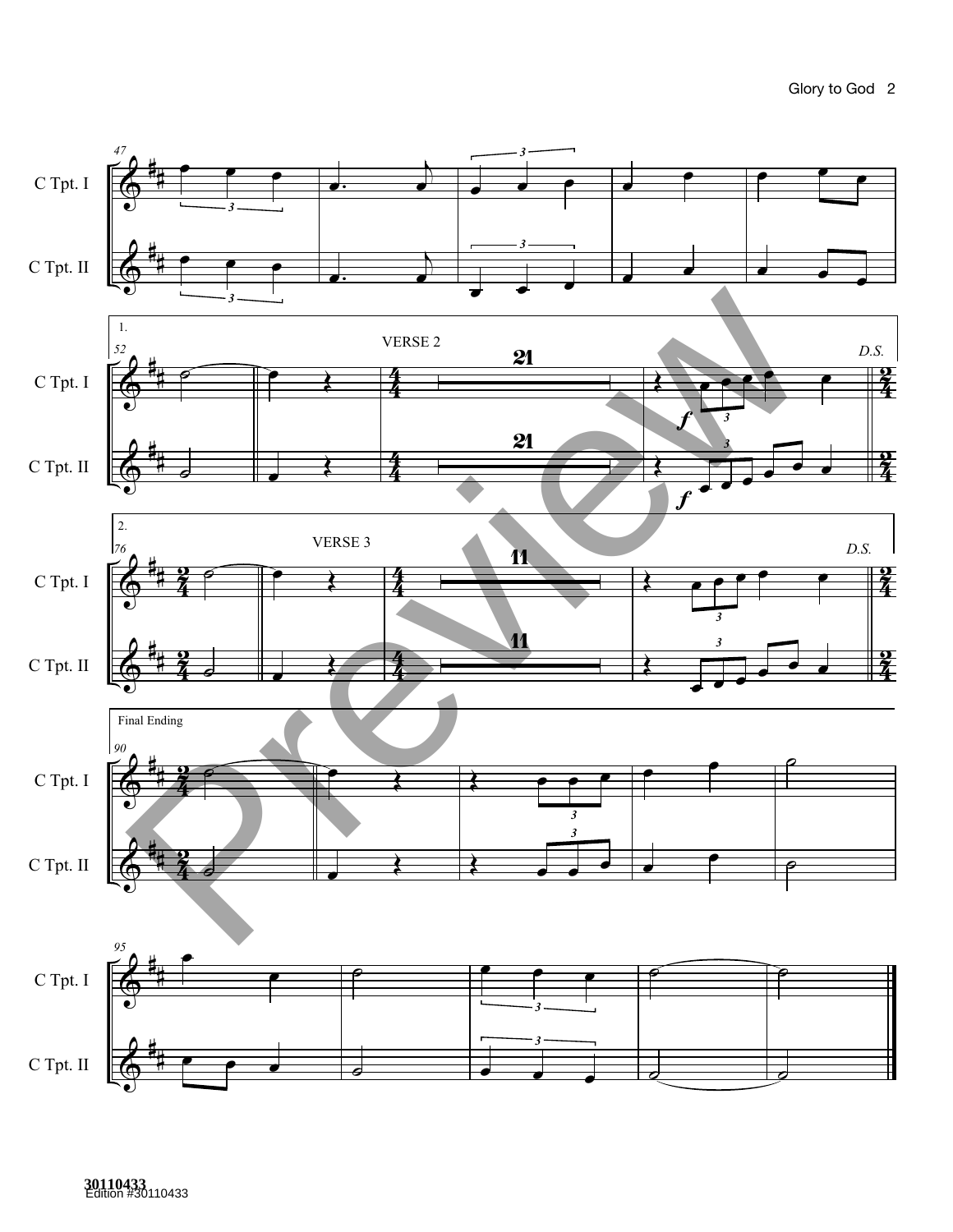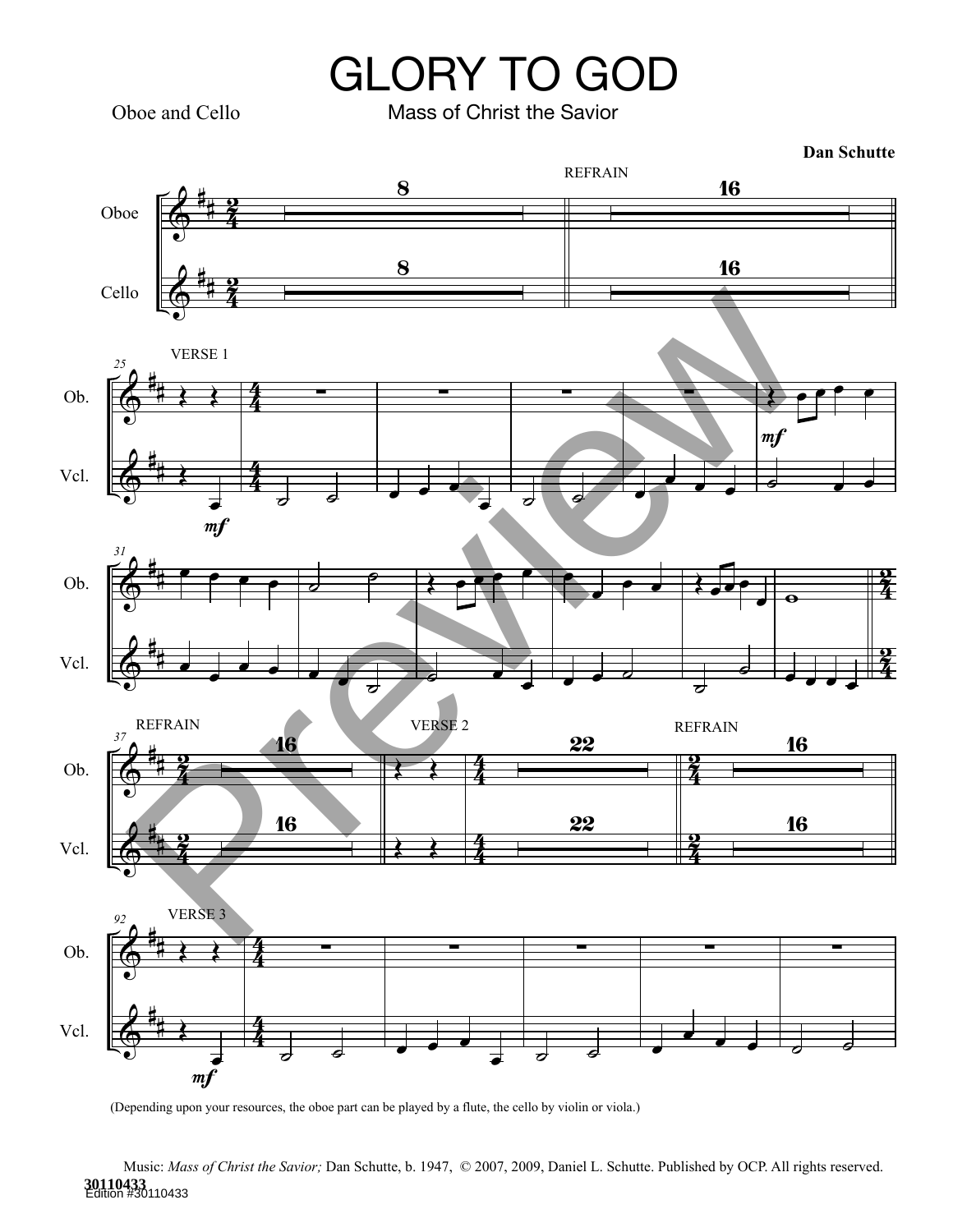# GLORY TO GOD

Oboe and Cello

Mass of Christ the Savior

**Dan Schutte**



(Depending upon your resources, the oboe part can be played by a flute, the cello by violin or viola.)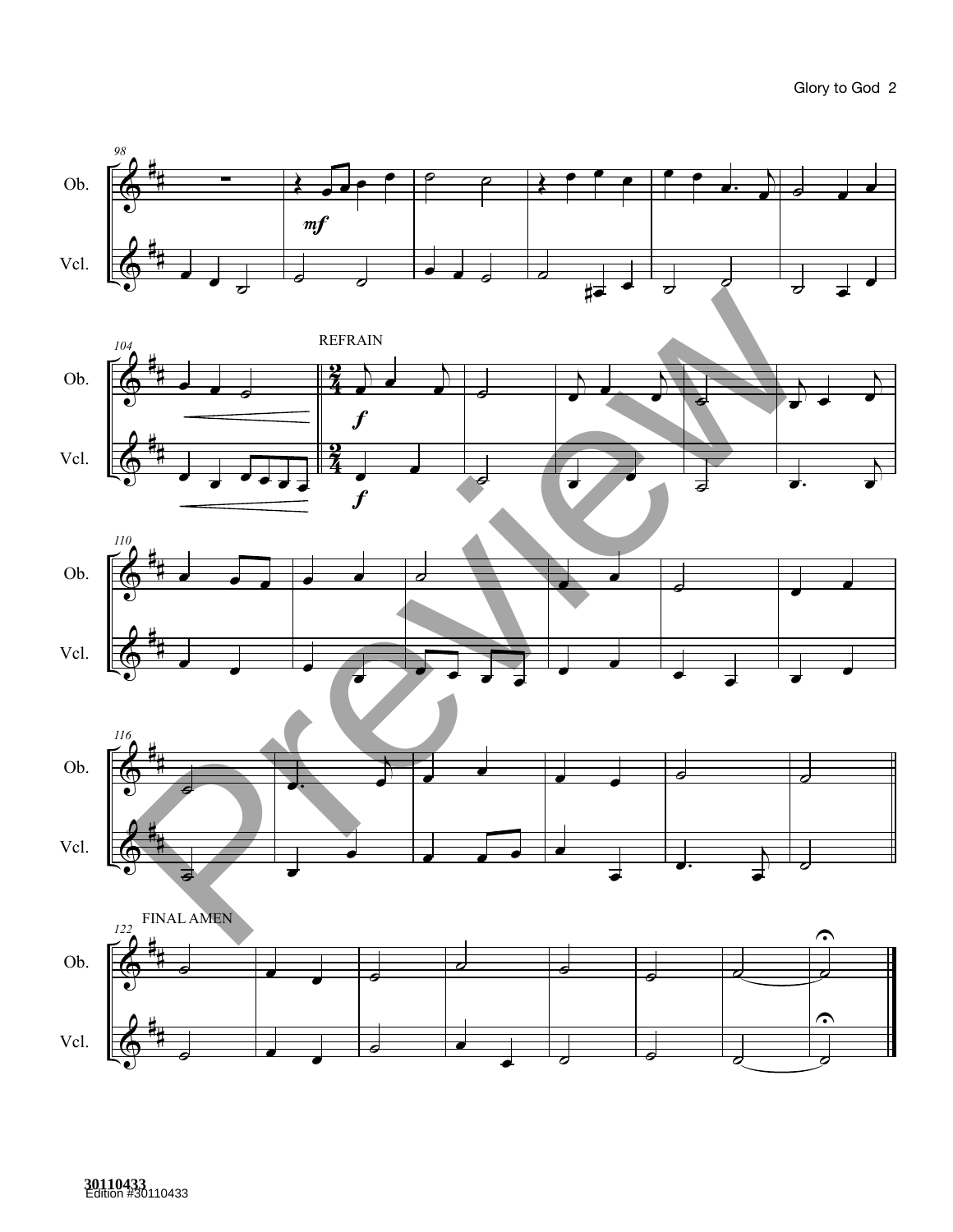







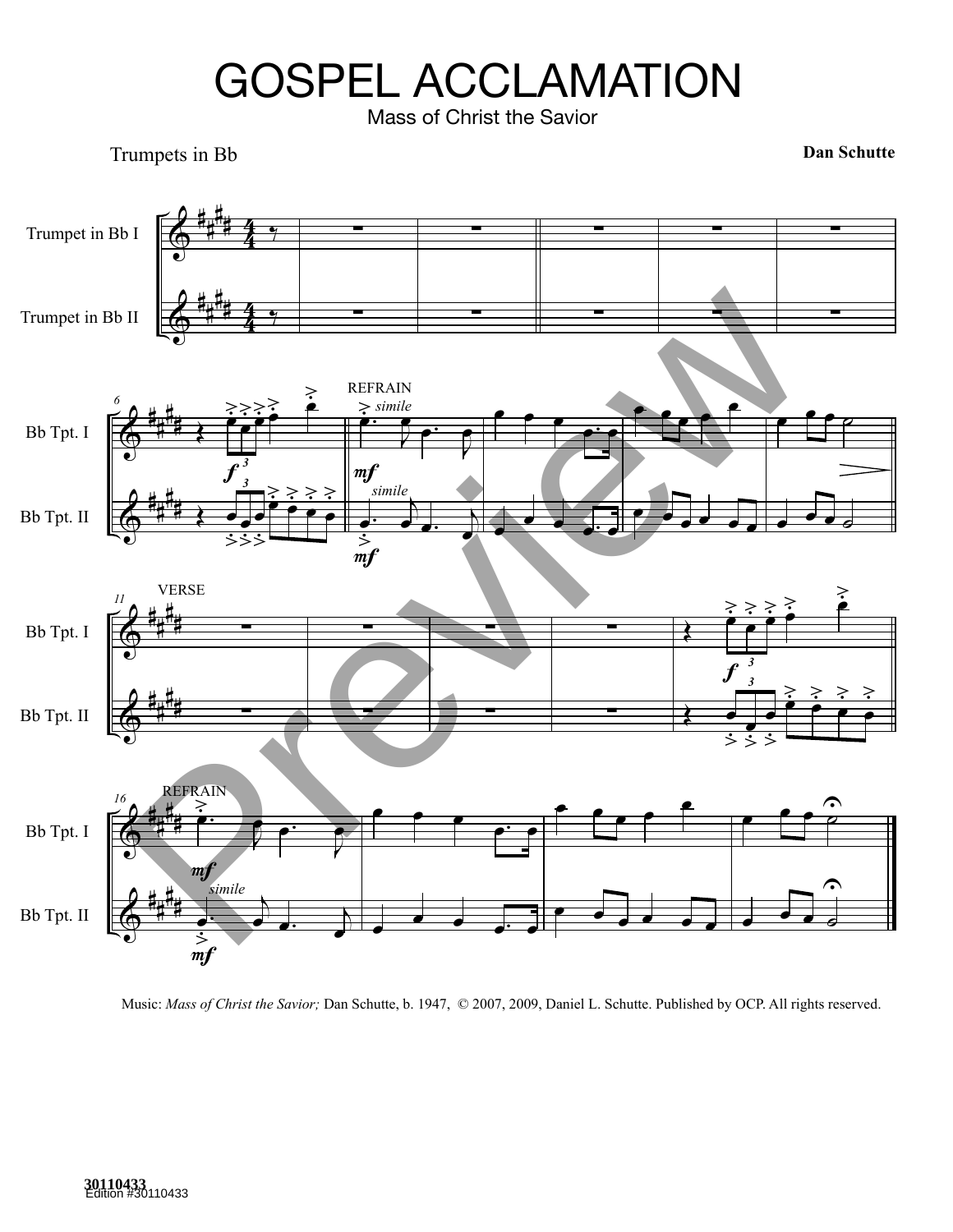GOSPEL ACCLAMATION

Mass of Christ the Savior

**Trumpets in Bb Dan Schutte** 



Music: *Mass of Christ the Savior;* Dan Schutte, b. 1947, © 2007, 2009, Daniel L. Schutte. Published by OCP. All rights reserved.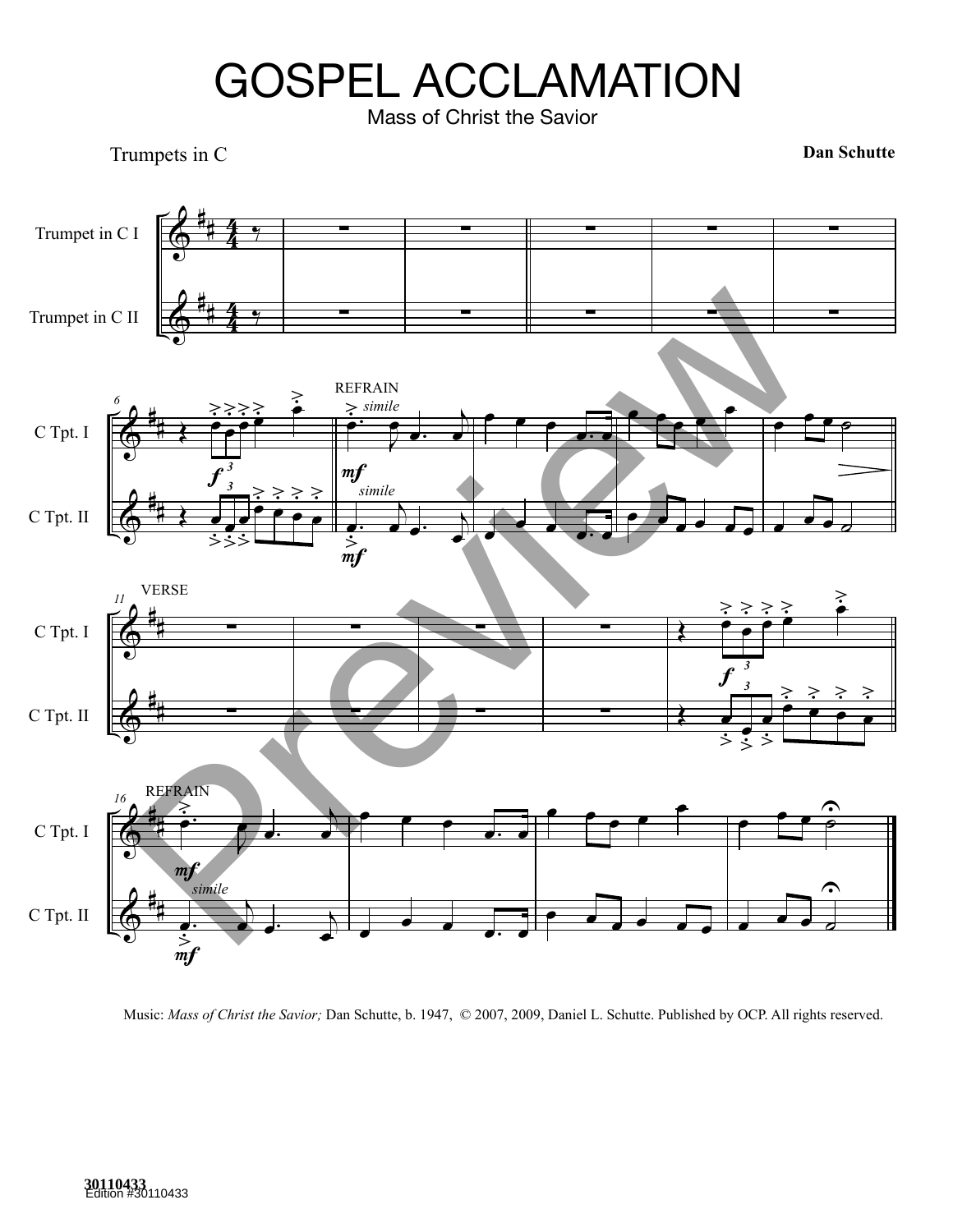GOSPEL ACCLAMATION

Mass of Christ the Savior

Trumpets in C **Dan Schutte** 



Music: *Mass of Christ the Savior;* Dan Schutte, b. 1947, © 2007, 2009, Daniel L. Schutte. Published by OCP. All rights reserved.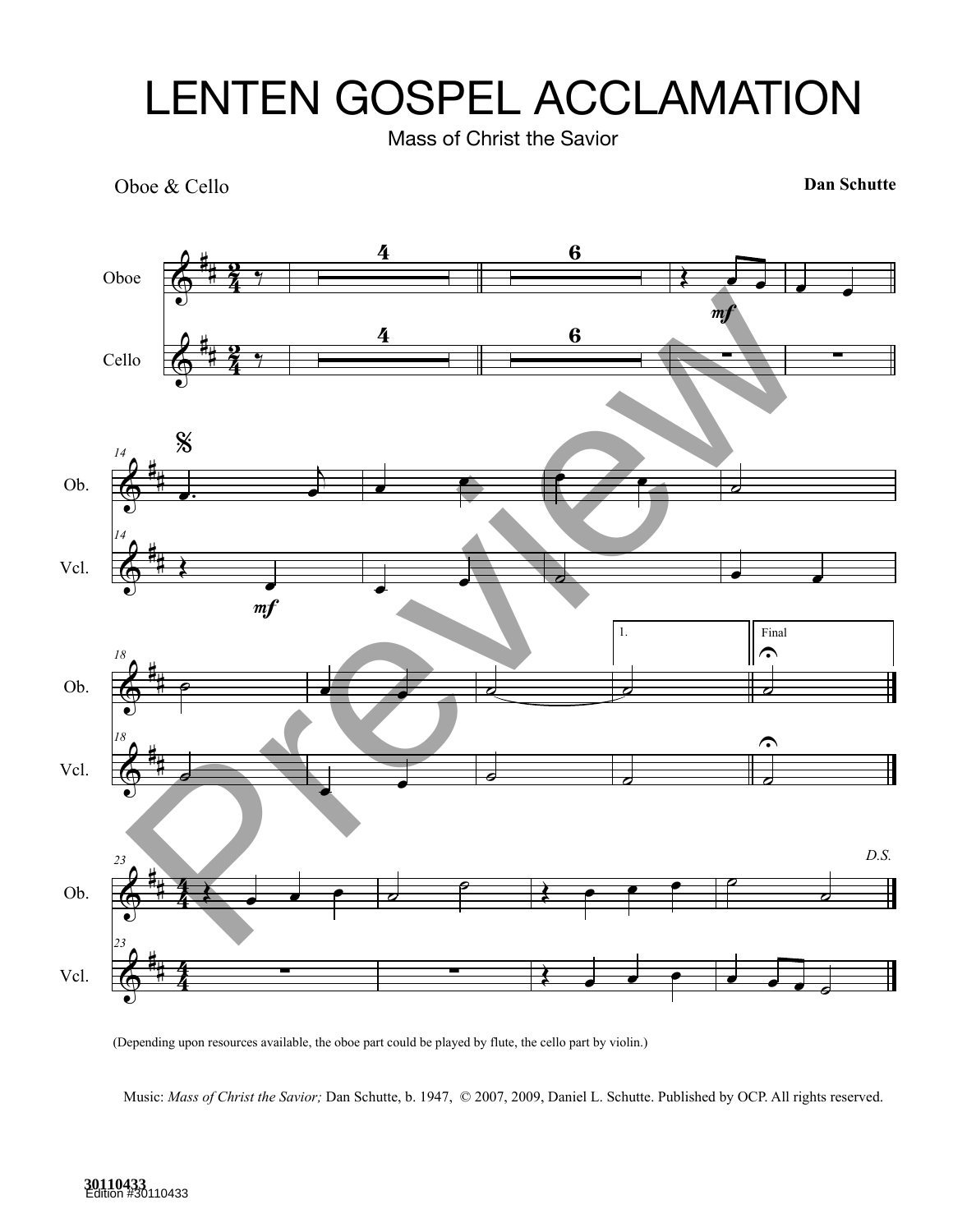## LENTEN GOSPEL ACCLAMATION

Mass of Christ the Savior

Oboe & Cello

**Dan Schutte**



(Depending upon resources available, the oboe part could be played by flute, the cello part by violin.)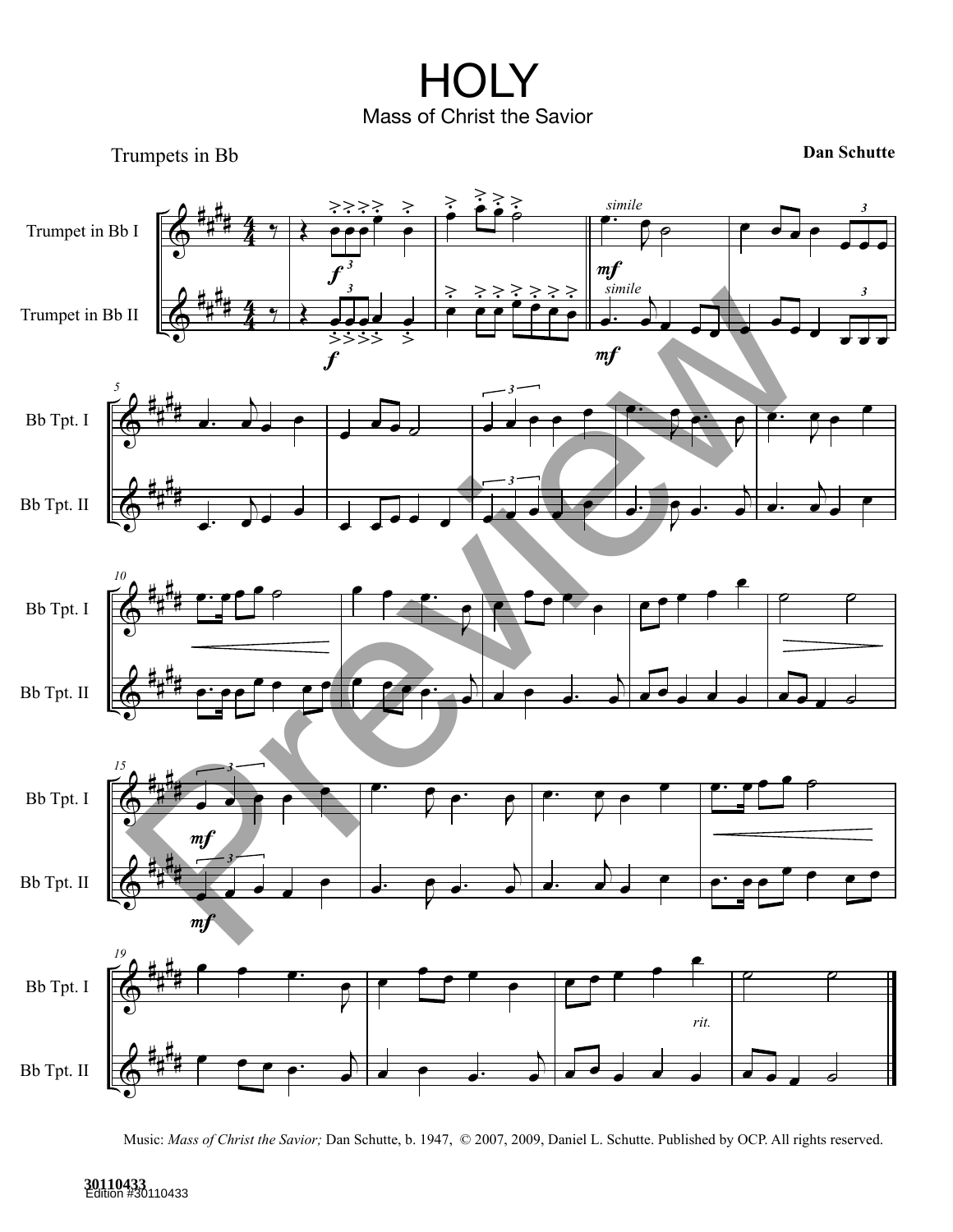**HOLY** Mass of Christ the Savior

#### **Trumpets in Bb Dan Schutte**











Music: *Mass of Christ the Savior;* Dan Schutte, b. 1947, © 2007, 2009, Daniel L. Schutte. Published by OCP. All rights reserved.

**30110433** Edition #30110433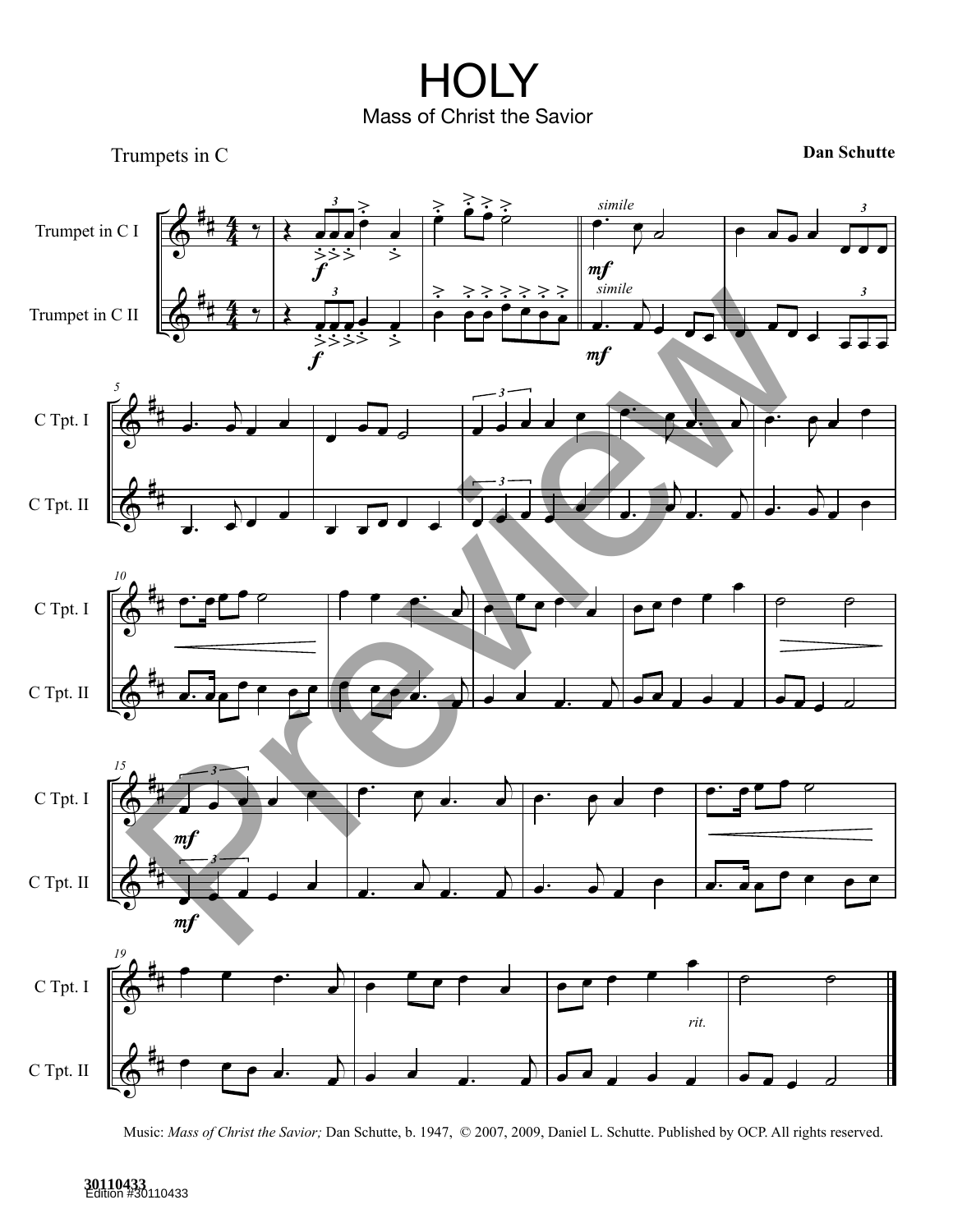HOLY Mass of Christ the Savior

#### Trumpets in C **Dan Schutte**











Music: *Mass of Christ the Savior;* Dan Schutte, b. 1947, © 2007, 2009, Daniel L. Schutte. Published by OCP. All rights reserved.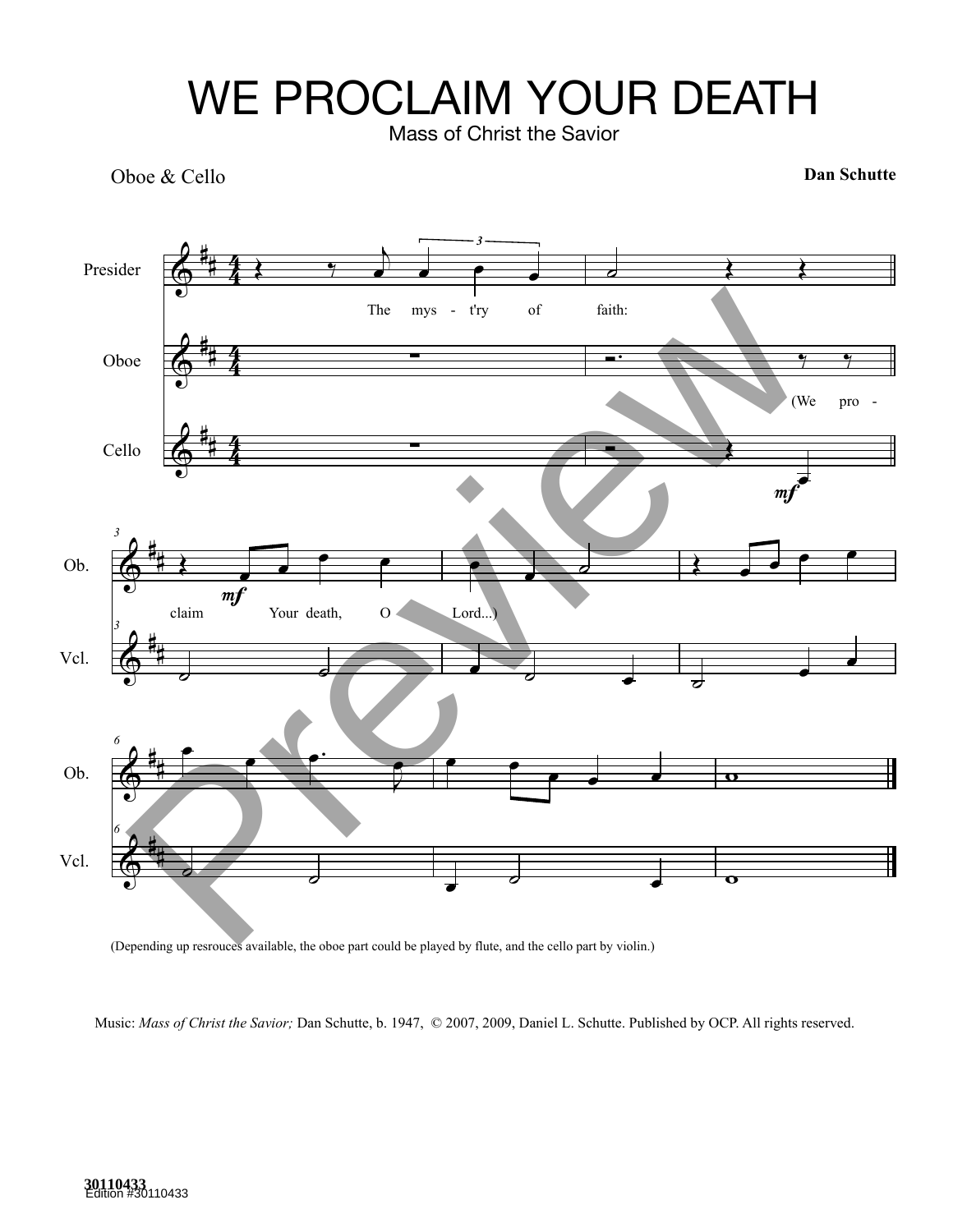## WE PROCLAIM YOUR DEATH

Mass of Christ the Savior

Oboe & Cello **Dan Schutte** 



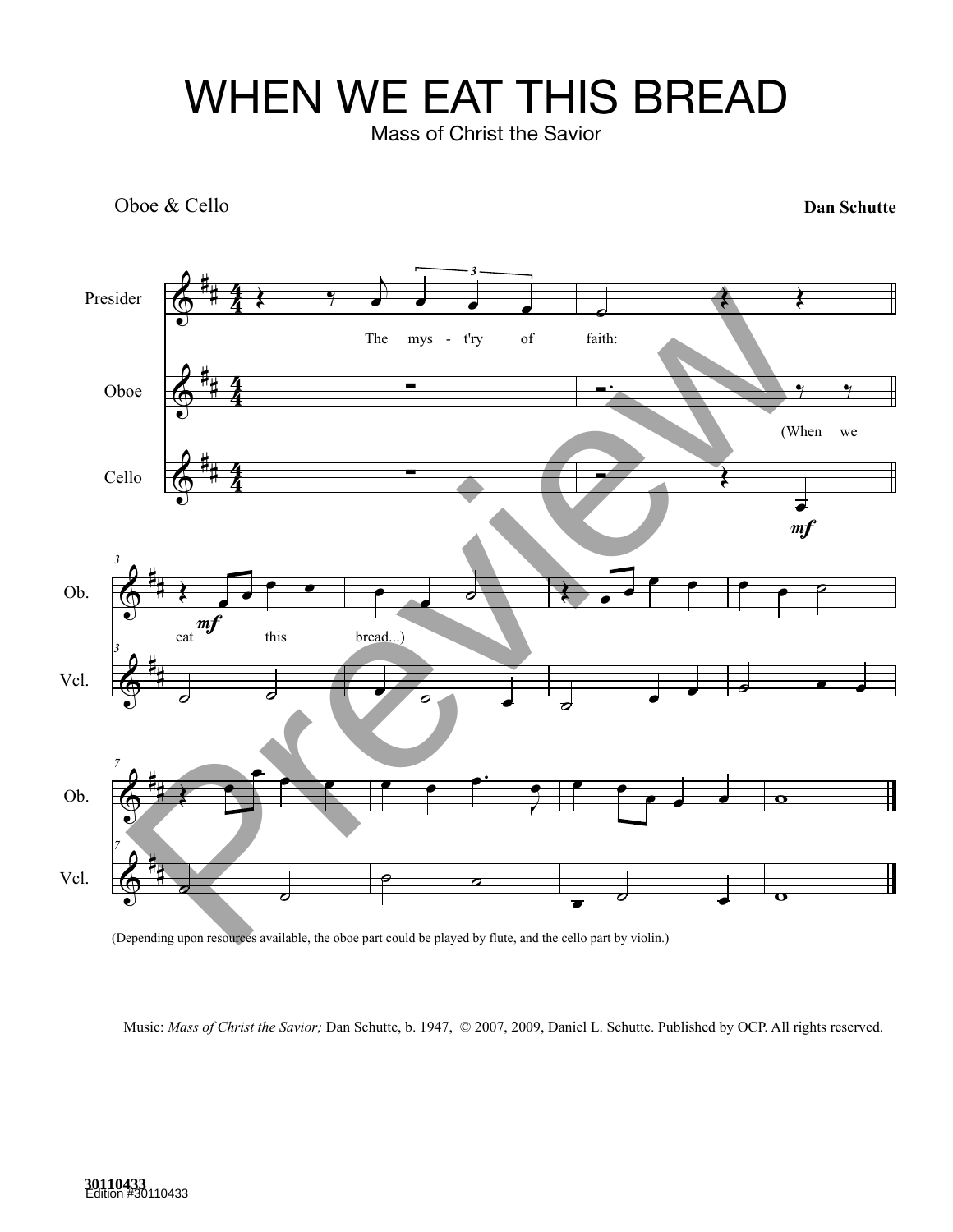#### WHEN WE EAT THIS BREAD

Mass of Christ the Savior

Oboe & Cello

**Dan Schutte**



(Depending upon resources available, the oboe part could be played by flute, and the cello part by violin.)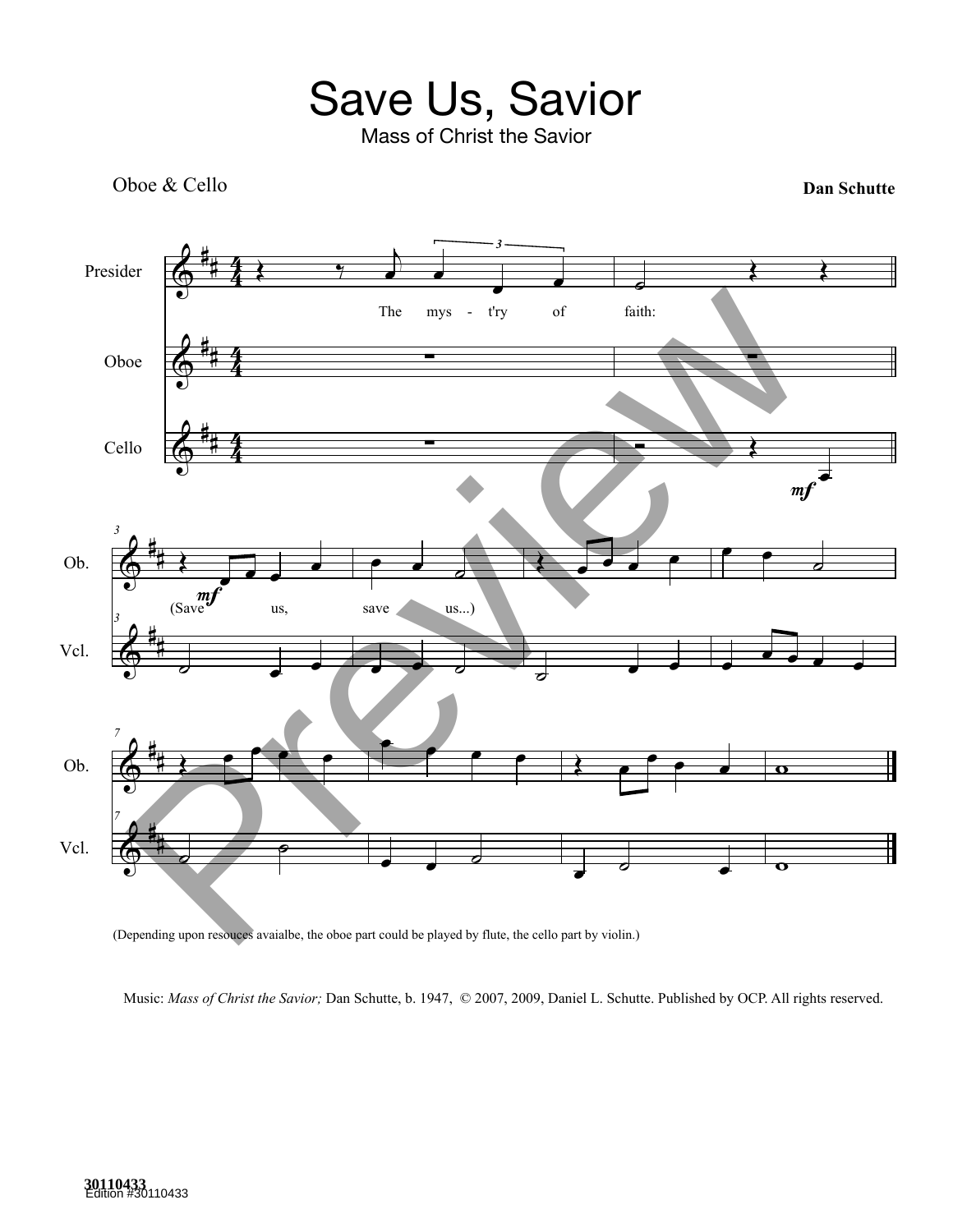Save Us, Savior Mass of Christ the Savior

Oboe & Cello

**Dan Schutte**



(Depending upon resouces avaialbe, the oboe part could be played by flute, the cello part by violin.)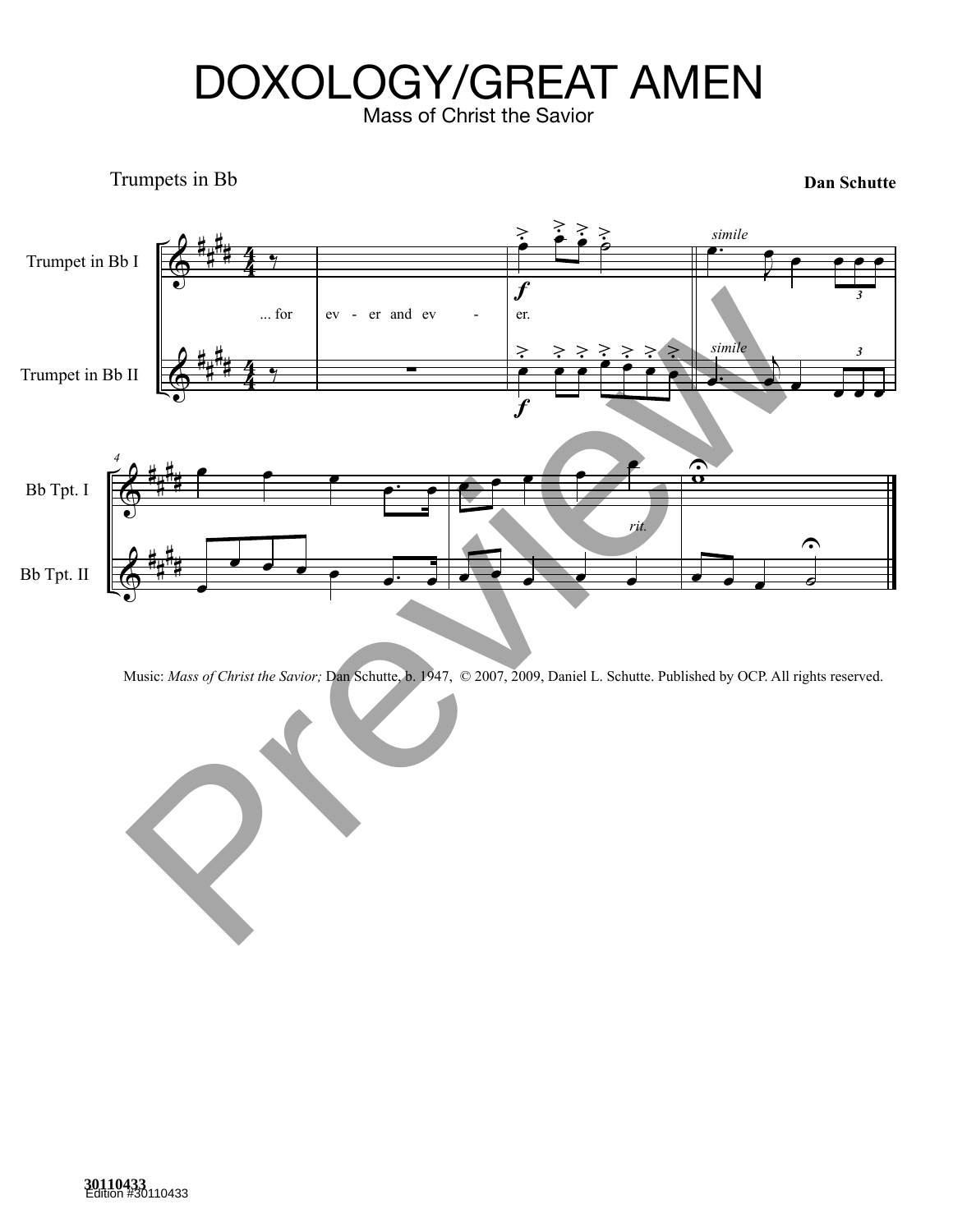DOXOLOGY/GREAT AMEN Mass of Christ the Savior

**Trumpets in Bb Dan Schutte** 

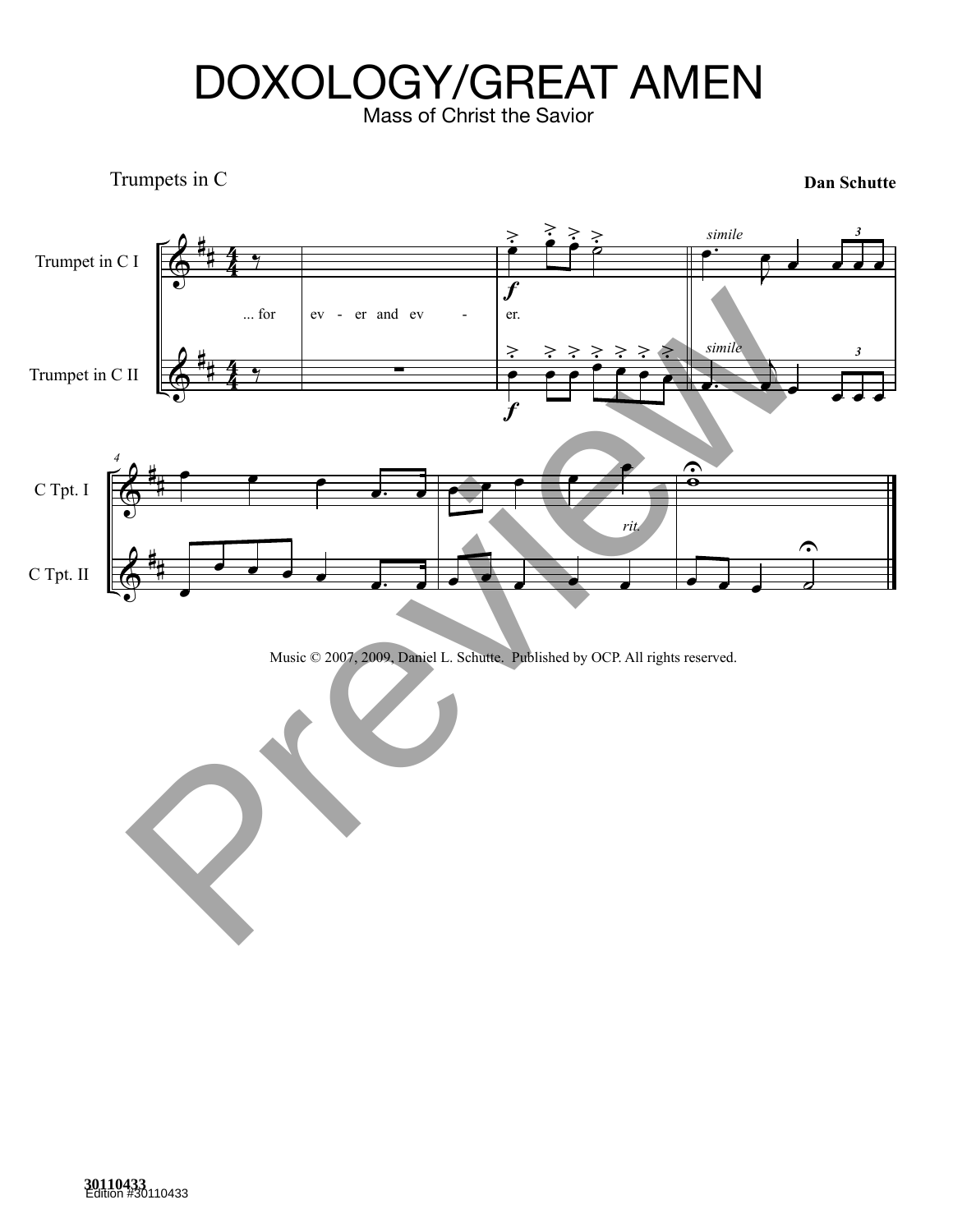DOXOLOGY/GREAT AMEN Mass of Christ the Savior

Trumpets in C **Dan Schutte** 



Music © 2007, 2009, Daniel L. Schutte. Published by OCP. All rights reserved.